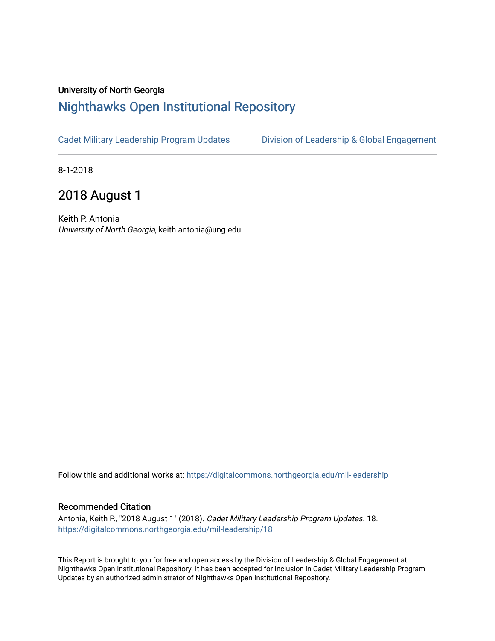## University of North Georgia

## [Nighthawks Open Institutional Repository](https://digitalcommons.northgeorgia.edu/)

[Cadet Military Leadership Program Updates](https://digitalcommons.northgeorgia.edu/mil-leadership) Division of Leadership & Global Engagement

8-1-2018

## 2018 August 1

Keith P. Antonia University of North Georgia, keith.antonia@ung.edu

Follow this and additional works at: [https://digitalcommons.northgeorgia.edu/mil-leadership](https://digitalcommons.northgeorgia.edu/mil-leadership?utm_source=digitalcommons.northgeorgia.edu%2Fmil-leadership%2F18&utm_medium=PDF&utm_campaign=PDFCoverPages) 

## Recommended Citation

Antonia, Keith P., "2018 August 1" (2018). Cadet Military Leadership Program Updates. 18. [https://digitalcommons.northgeorgia.edu/mil-leadership/18](https://digitalcommons.northgeorgia.edu/mil-leadership/18?utm_source=digitalcommons.northgeorgia.edu%2Fmil-leadership%2F18&utm_medium=PDF&utm_campaign=PDFCoverPages)

This Report is brought to you for free and open access by the Division of Leadership & Global Engagement at Nighthawks Open Institutional Repository. It has been accepted for inclusion in Cadet Military Leadership Program Updates by an authorized administrator of Nighthawks Open Institutional Repository.